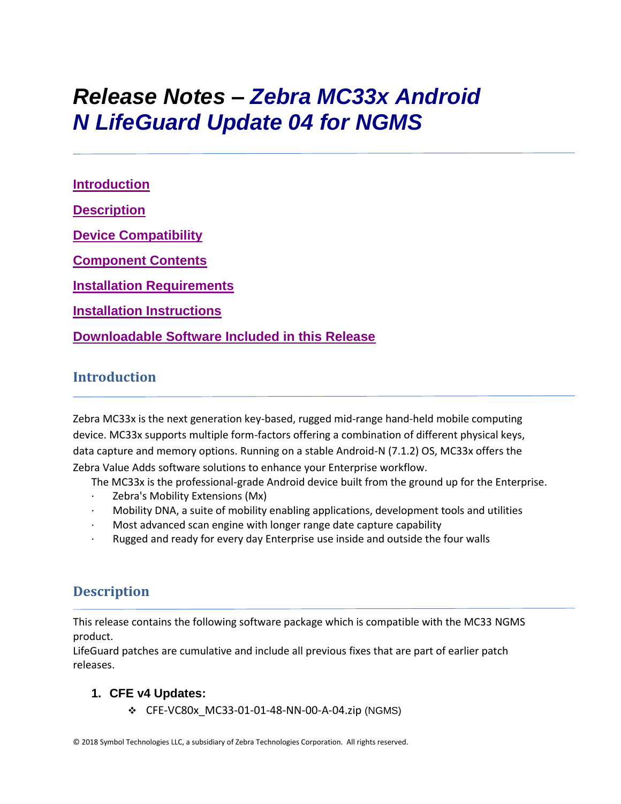# *Release Notes – Zebra MC33x Android N LifeGuard Update 04 for NGMS*

**[Introduction](file:///C:/Users/GRM1/AppData/Local/Microsoft/Windows/Temporary%20Internet%20Files/Content.Outlook/R2OHE4UY/MC33%20Non-GMS%20Release%20Notes%20v01-01-48-NN-00-A_Update003.htm%23_Introduction) [Description](file:///C:/Users/GRM1/AppData/Local/Microsoft/Windows/Temporary%20Internet%20Files/Content.Outlook/R2OHE4UY/MC33%20Non-GMS%20Release%20Notes%20v01-01-48-NN-00-A_Update003.htm%23Description) [Device Compatibility](file:///C:/Users/GRM1/AppData/Local/Microsoft/Windows/Temporary%20Internet%20Files/Content.Outlook/R2OHE4UY/MC33%20Non-GMS%20Release%20Notes%20v01-01-48-NN-00-A_Update003.htm%23DeviceCompatibility) [Component Contents](file:///C:/Users/GRM1/AppData/Local/Microsoft/Windows/Temporary%20Internet%20Files/Content.Outlook/R2OHE4UY/MC33%20Non-GMS%20Release%20Notes%20v01-01-48-NN-00-A_Update003.htm%23ComponentContents) [Installation Requirements](file:///C:/Users/GRM1/AppData/Local/Microsoft/Windows/Temporary%20Internet%20Files/Content.Outlook/R2OHE4UY/MC33%20Non-GMS%20Release%20Notes%20v01-01-48-NN-00-A_Update003.htm%23InstallationRequirements) [Installation Instructions](file:///C:/Users/GRM1/AppData/Local/Microsoft/Windows/Temporary%20Internet%20Files/Content.Outlook/R2OHE4UY/MC33%20Non-GMS%20Release%20Notes%20v01-01-48-NN-00-A_Update003.htm%23InstallationInstructions) [Downloadable Software Included in this Release](#page-6-0)**

## **Introduction**

Zebra MC33x is the next generation key-based, rugged mid-range hand-held mobile computing device. MC33x supports multiple form-factors offering a combination of different physical keys, data capture and memory options. Running on a stable Android-N (7.1.2) OS, MC33x offers the Zebra Value Adds software solutions to enhance your Enterprise workflow.

The MC33x is the professional-grade Android device built from the ground up for the Enterprise.

- · Zebra's Mobility Extensions (Mx)
- · Mobility DNA, a suite of mobility enabling applications, development tools and utilities
- Most advanced scan engine with longer range date capture capability
- Rugged and ready for every day Enterprise use inside and outside the four walls

## **Description**

This release contains the following software package which is compatible with the MC33 NGMS product.

LifeGuard patches are cumulative and include all previous fixes that are part of earlier patch releases.

#### **1. CFE v4 Updates:**

❖ CFE-VC80x\_MC33-01-01-48-NN-00-A-04.zip (NGMS)

© 2018 Symbol Technologies LLC, a subsidiary of Zebra Technologies Corporation. All rights reserved.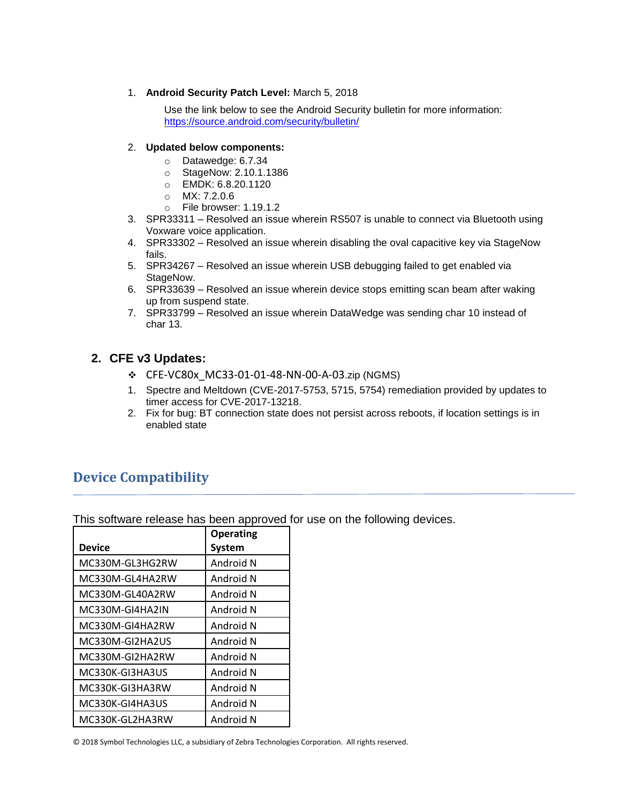1. **Android Security Patch Level:** March 5, 2018

Use the link below to see the Android Security bulletin for more information: <https://source.android.com/security/bulletin/>

#### 2. **Updated below components:**

- o Datawedge: 6.7.34
- o StageNow: 2.10.1.1386
- o EMDK: 6.8.20.1120
- o MX: 7.2.0.6
- o File browser: 1.19.1.2
- 3. SPR33311 Resolved an issue wherein RS507 is unable to connect via Bluetooth using Voxware voice application.
- 4. SPR33302 Resolved an issue wherein disabling the oval capacitive key via StageNow fails.
- 5. SPR34267 Resolved an issue wherein USB debugging failed to get enabled via StageNow.
- 6. SPR33639 Resolved an issue wherein device stops emitting scan beam after waking up from suspend state.
- 7. SPR33799 Resolved an issue wherein DataWedge was sending char 10 instead of char 13.

#### **2. CFE v3 Updates:**

- ❖ CFE-VC80x\_MC33-01-01-48-NN-00-A-03.zip (NGMS)
- 1. Spectre and Meltdown (CVE-2017-5753, 5715, 5754) remediation provided by updates to timer access for CVE-2017-13218.
- 2. Fix for bug: BT connection state does not persist across reboots, if location settings is in enabled state

## **Device Compatibility**

This software release has been approved for use on the following devices.

|                 | <b>Operating</b> |
|-----------------|------------------|
| Device          | <b>System</b>    |
| MC330M-GL3HG2RW | Android N        |
| MC330M-GL4HA2RW | Android N        |
| MC330M-GL40A2RW | Android N        |
| MC330M-GI4HA2IN | Android N        |
| MC330M-GI4HA2RW | Android N        |
| MC330M-GI2HA2US | Android N        |
| MC330M-GI2HA2RW | Android N        |
| MC330K-GI3HA3US | Android N        |
| MC330K-GI3HA3RW | Android N        |
| MC330K-GI4HA3US | Android N        |
| MC330K-GL2HA3RW | Android N        |

© 2018 Symbol Technologies LLC, a subsidiary of Zebra Technologies Corporation. All rights reserved.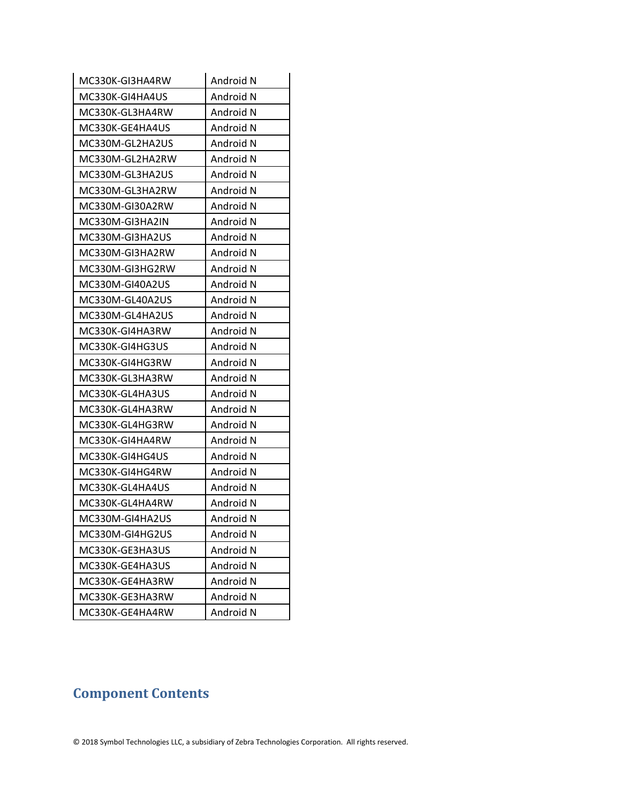| MC330K-GI3HA4RW | Android N |
|-----------------|-----------|
| MC330K-GI4HA4US | Android N |
| MC330K-GL3HA4RW | Android N |
| MC330K-GE4HA4US | Android N |
| MC330M-GL2HA2US | Android N |
| MC330M-GL2HA2RW | Android N |
| MC330M-GL3HA2US | Android N |
| MC330M-GL3HA2RW | Android N |
| MC330M-GI30A2RW | Android N |
| MC330M-GI3HA2IN | Android N |
| MC330M-GI3HA2US | Android N |
| MC330M-GI3HA2RW | Android N |
| MC330M-GI3HG2RW | Android N |
| MC330M-GI40A2US | Android N |
| MC330M-GL40A2US | Android N |
| MC330M-GL4HA2US | Android N |
| MC330K-GI4HA3RW | Android N |
| MC330K-GI4HG3US | Android N |
| MC330K-GI4HG3RW | Android N |
| MC330K-GL3HA3RW | Android N |
| MC330K-GL4HA3US | Android N |
| MC330K-GL4HA3RW | Android N |
| MC330K-GL4HG3RW | Android N |
| MC330K-GI4HA4RW | Android N |
| MC330K-GI4HG4US | Android N |
| MC330K-GI4HG4RW | Android N |
| MC330K-GL4HA4US | Android N |
| MC330K-GL4HA4RW | Android N |
| MC330M-GI4HA2US | Android N |
| MC330M-GI4HG2US | Android N |
| MC330K-GE3HA3US | Android N |
| MC330K-GE4HA3US | Android N |
| MC330K-GE4HA3RW | Android N |
| MC330K-GE3HA3RW | Android N |
| MC330K-GE4HA4RW | Android N |

# **Component Contents**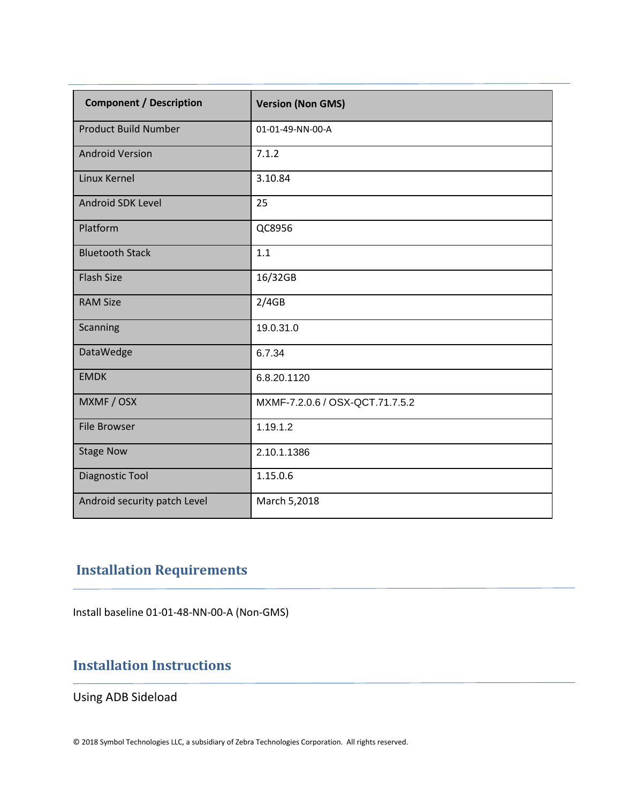| <b>Component / Description</b> | <b>Version (Non GMS)</b>        |
|--------------------------------|---------------------------------|
| <b>Product Build Number</b>    | 01-01-49-NN-00-A                |
| <b>Android Version</b>         | 7.1.2                           |
| Linux Kernel                   | 3.10.84                         |
| Android SDK Level              | 25                              |
| Platform                       | QC8956                          |
| <b>Bluetooth Stack</b>         | 1.1                             |
| <b>Flash Size</b>              | 16/32GB                         |
| <b>RAM Size</b>                | 2/4GB                           |
| Scanning                       | 19.0.31.0                       |
| DataWedge                      | 6.7.34                          |
| <b>EMDK</b>                    | 6.8.20.1120                     |
| MXMF / OSX                     | MXMF-7.2.0.6 / OSX-QCT.71.7.5.2 |
| <b>File Browser</b>            | 1.19.1.2                        |
| <b>Stage Now</b>               | 2.10.1.1386                     |
| Diagnostic Tool                | 1.15.0.6                        |
| Android security patch Level   | March 5,2018                    |

# **Installation Requirements**

Install baseline 01-01-48-NN-00-A (Non-GMS)

## **Installation Instructions**

Using ADB Sideload

© 2018 Symbol Technologies LLC, a subsidiary of Zebra Technologies Corporation. All rights reserved.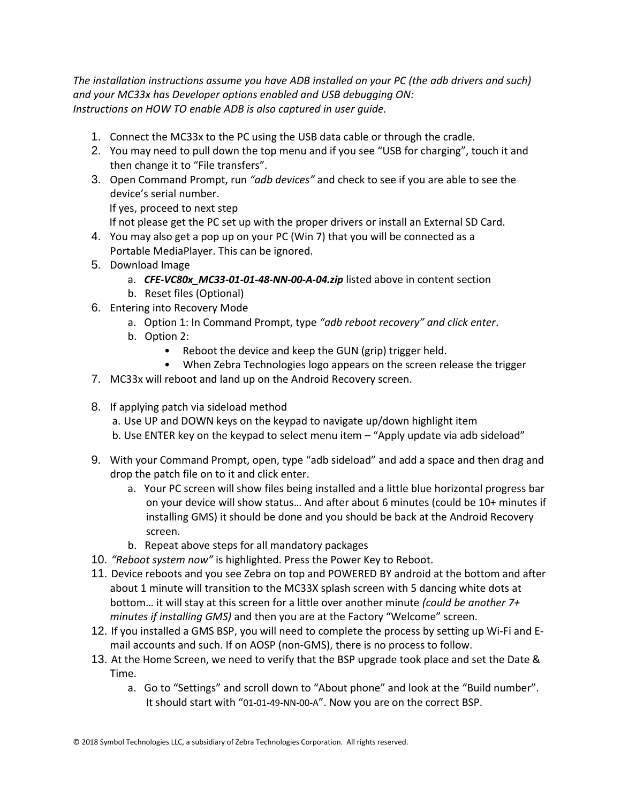*The installation instructions assume you have ADB installed on your PC (the adb drivers and such) and your MC33x has Developer options enabled and USB debugging ON: Instructions on HOW TO enable ADB is also captured in user guide.*

- 1. Connect the MC33x to the PC using the USB data cable or through the cradle.
- 2. You may need to pull down the top menu and if you see "USB for charging", touch it and then change it to "File transfers".
- 3. Open Command Prompt, run *"adb devices"* and check to see if you are able to see the device's serial number.

If yes, proceed to next step

If not please get the PC set up with the proper drivers or install an External SD Card.

- 4. You may also get a pop up on your PC (Win 7) that you will be connected as a Portable MediaPlayer. This can be ignored.
- 5. Download Image
	- a. *CFE-VC80x\_MC33-01-01-48-NN-00-A-04.zip* listed above in content section
	- b. Reset files (Optional)
- 6. Entering into Recovery Mode
	- a. Option 1: In Command Prompt, type *"adb reboot recovery" and click enter*.
	- b. Option 2:
		- Reboot the device and keep the GUN (grip) trigger held.
		- When Zebra Technologies logo appears on the screen release the trigger
- 7. MC33x will reboot and land up on the Android Recovery screen.
- 8. If applying patch via sideload method
	- a. Use UP and DOWN keys on the keypad to navigate up/down highlight item
	- b. Use ENTER key on the keypad to select menu item "Apply update via adb sideload"
- 9. With your Command Prompt, open, type "adb sideload" and add a space and then drag and drop the patch file on to it and click enter.
	- a. Your PC screen will show files being installed and a little blue horizontal progress bar on your device will show status… And after about 6 minutes (could be 10+ minutes if installing GMS) it should be done and you should be back at the Android Recovery screen.
	- b. Repeat above steps for all mandatory packages
- 10. *"Reboot system now"* is highlighted. Press the Power Key to Reboot.
- 11. Device reboots and you see Zebra on top and POWERED BY android at the bottom and after about 1 minute will transition to the MC33X splash screen with 5 dancing white dots at bottom… it will stay at this screen for a little over another minute *(could be another 7+ minutes if installing GMS)* and then you are at the Factory "Welcome" screen.
- 12. If you installed a GMS BSP, you will need to complete the process by setting up Wi‐Fi and E‐ mail accounts and such. If on AOSP (non‐GMS), there is no process to follow.
- 13. At the Home Screen, we need to verify that the BSP upgrade took place and set the Date & Time.
	- a. Go to "Settings" and scroll down to "About phone" and look at the "Build number". It should start with "01-01-49-NN-00-A". Now you are on the correct BSP.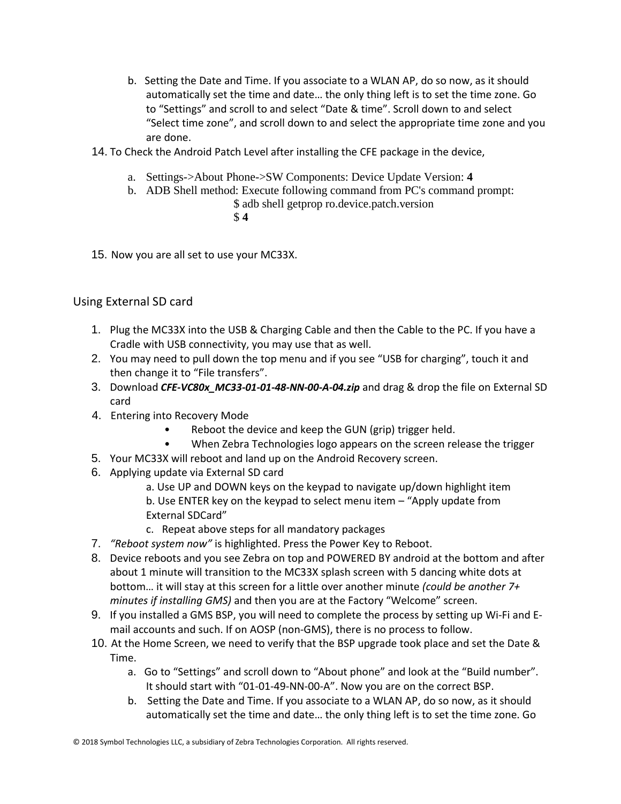- b. Setting the Date and Time. If you associate to a WLAN AP, do so now, as it should automatically set the time and date… the only thing left is to set the time zone. Go to "Settings" and scroll to and select "Date & time". Scroll down to and select "Select time zone", and scroll down to and select the appropriate time zone and you are done.
- 14. To Check the Android Patch Level after installing the CFE package in the device,
	- a. Settings->About Phone->SW Components: Device Update Version: **4**
	- b. ADB Shell method: Execute following command from PC's command prompt: \$ adb shell getprop ro.device.patch.version \$ **4**
- 15. Now you are all set to use your MC33X.

#### Using External SD card

- 1. Plug the MC33X into the USB & Charging Cable and then the Cable to the PC. If you have a Cradle with USB connectivity, you may use that as well.
- 2. You may need to pull down the top menu and if you see "USB for charging", touch it and then change it to "File transfers".
- 3. Download *CFE-VC80x\_MC33-01-01-48-NN-00-A-04.zip* and drag & drop the file on External SD card
- 4. Entering into Recovery Mode
	- Reboot the device and keep the GUN (grip) trigger held.
	- When Zebra Technologies logo appears on the screen release the trigger
- 5. Your MC33X will reboot and land up on the Android Recovery screen.
- 6. Applying update via External SD card
	- a. Use UP and DOWN keys on the keypad to navigate up/down highlight item b. Use ENTER key on the keypad to select menu item – "Apply update from External SDCard"
	- c. Repeat above steps for all mandatory packages
- 7. *"Reboot system now"* is highlighted. Press the Power Key to Reboot.
- 8. Device reboots and you see Zebra on top and POWERED BY android at the bottom and after about 1 minute will transition to the MC33X splash screen with 5 dancing white dots at bottom… it will stay at this screen for a little over another minute *(could be another 7+ minutes if installing GMS)* and then you are at the Factory "Welcome" screen.
- 9. If you installed a GMS BSP, you will need to complete the process by setting up Wi‐Fi and E‐ mail accounts and such. If on AOSP (non‐GMS), there is no process to follow.
- 10. At the Home Screen, we need to verify that the BSP upgrade took place and set the Date & Time.
	- a. Go to "Settings" and scroll down to "About phone" and look at the "Build number". It should start with "01-01-49-NN-00-A". Now you are on the correct BSP.
	- b. Setting the Date and Time. If you associate to a WLAN AP, do so now, as it should automatically set the time and date… the only thing left is to set the time zone. Go